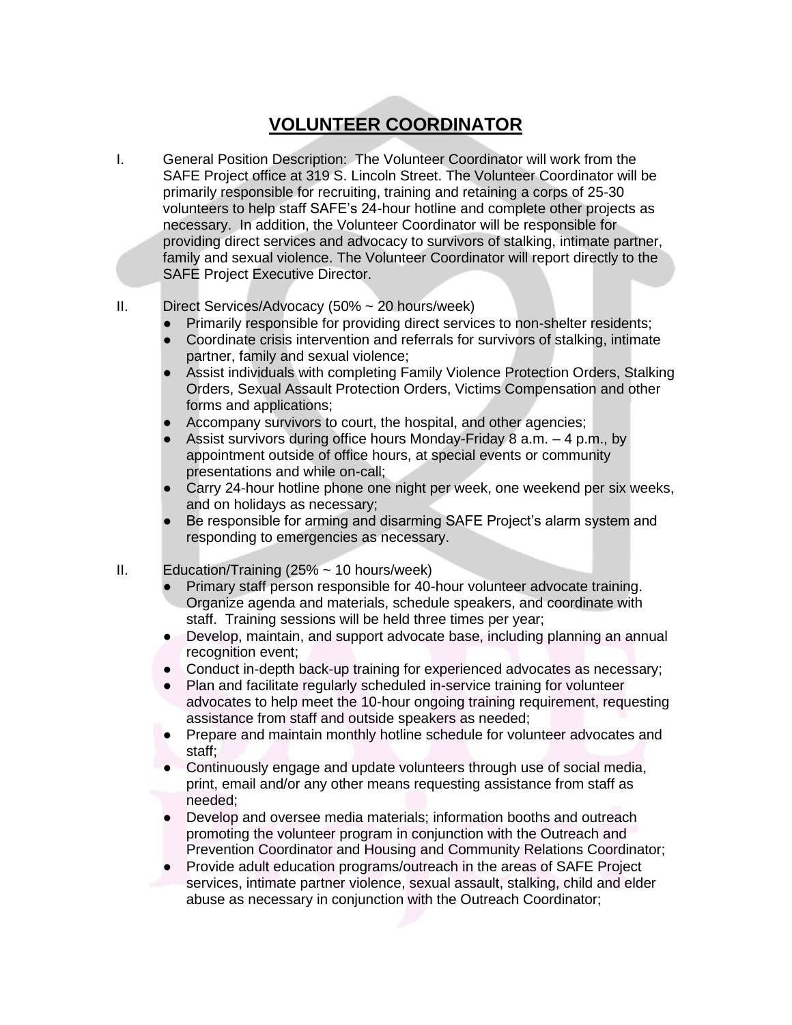## **VOLUNTEER COORDINATOR**

- I. General Position Description: The Volunteer Coordinator will work from the SAFE Project office at 319 S. Lincoln Street. The Volunteer Coordinator will be primarily responsible for recruiting, training and retaining a corps of 25-30 volunteers to help staff SAFE's 24-hour hotline and complete other projects as necessary. In addition, the Volunteer Coordinator will be responsible for providing direct services and advocacy to survivors of stalking, intimate partner, family and sexual violence. The Volunteer Coordinator will report directly to the SAFE Project Executive Director.
- II. Direct Services/Advocacy (50% ~ 20 hours/week)
	- Primarily responsible for providing direct services to non-shelter residents;
	- Coordinate crisis intervention and referrals for survivors of stalking, intimate partner, family and sexual violence;
	- Assist individuals with completing Family Violence Protection Orders, Stalking Orders, Sexual Assault Protection Orders, Victims Compensation and other forms and applications;
	- Accompany survivors to court, the hospital, and other agencies;
	- Assist survivors during office hours Monday-Friday 8 a.m.  $-4$  p.m., by appointment outside of office hours, at special events or community presentations and while on-call;
	- Carry 24-hour hotline phone one night per week, one weekend per six weeks, and on holidays as necessary;
	- Be responsible for arming and disarming SAFE Project's alarm system and responding to emergencies as necessary.
- II. Education/Training  $(25\% \sim 10 \text{ hours/week})$ 
	- Primary staff person responsible for 40-hour volunteer advocate training. Organize agenda and materials, schedule speakers, and coordinate with staff. Training sessions will be held three times per year;
	- Develop, maintain, and support advocate base, including planning an annual recognition event;
	- Conduct in-depth back-up training for experienced advocates as necessary;
	- Plan and facilitate regularly scheduled in-service training for volunteer advocates to help meet the 10-hour ongoing training requirement, requesting assistance from staff and outside speakers as needed;
	- Prepare and maintain monthly hotline schedule for volunteer advocates and staff;
	- Continuously engage and update volunteers through use of social media, print, email and/or any other means requesting assistance from staff as needed;
	- Develop and oversee media materials; information booths and outreach promoting the volunteer program in conjunction with the Outreach and Prevention Coordinator and Housing and Community Relations Coordinator;
	- Provide adult education programs/outreach in the areas of SAFE Project services, intimate partner violence, sexual assault, stalking, child and elder abuse as necessary in conjunction with the Outreach Coordinator;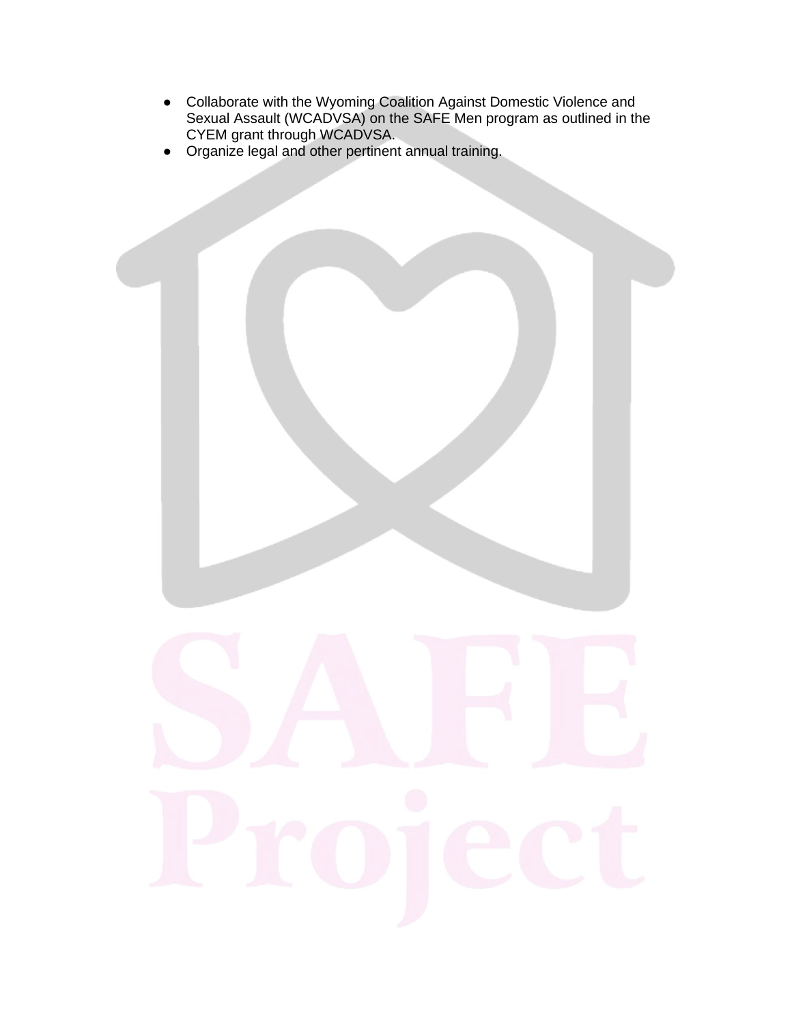- Collaborate with the Wyoming Coalition Against Domestic Violence and Sexual Assault (WCADVSA) on the SAFE Men program as outlined in the CYEM grant through WCADVSA.
- Organize legal and other pertinent annual training.